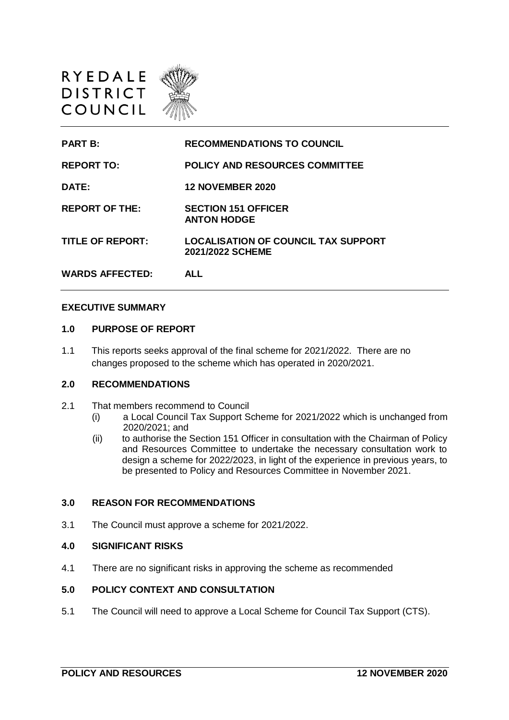



### **EXECUTIVE SUMMARY**

## **1.0 PURPOSE OF REPORT**

1.1 This reports seeks approval of the final scheme for 2021/2022. There are no changes proposed to the scheme which has operated in 2020/2021.

### **2.0 RECOMMENDATIONS**

- 2.1 That members recommend to Council
	- (i) a Local Council Tax Support Scheme for 2021/2022 which is unchanged from 2020/2021; and
	- (ii) to authorise the Section 151 Officer in consultation with the Chairman of Policy and Resources Committee to undertake the necessary consultation work to design a scheme for 2022/2023, in light of the experience in previous years, to be presented to Policy and Resources Committee in November 2021.

## **3.0 REASON FOR RECOMMENDATIONS**

3.1 The Council must approve a scheme for 2021/2022.

#### **4.0 SIGNIFICANT RISKS**

4.1 There are no significant risks in approving the scheme as recommended

# **5.0 POLICY CONTEXT AND CONSULTATION**

5.1 The Council will need to approve a Local Scheme for Council Tax Support (CTS).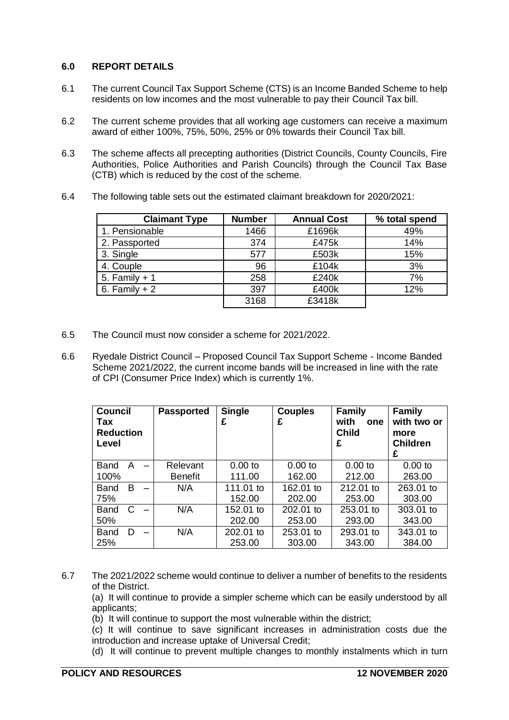# **6.0 REPORT DETAILS**

- 6.1 The current Council Tax Support Scheme (CTS) is an Income Banded Scheme to help residents on low incomes and the most vulnerable to pay their Council Tax bill.
- 6.2 The current scheme provides that all working age customers can receive a maximum award of either 100%, 75%, 50%, 25% or 0% towards their Council Tax bill.
- 6.3 The scheme affects all precepting authorities (District Councils, County Councils, Fire Authorities, Police Authorities and Parish Councils) through the Council Tax Base (CTB) which is reduced by the cost of the scheme.
- 6.4 The following table sets out the estimated claimant breakdown for 2020/2021:

| <b>Claimant Type</b> | <b>Number</b> | <b>Annual Cost</b> | % total spend |
|----------------------|---------------|--------------------|---------------|
| 1. Pensionable       | 1466          | £1696k             | 49%           |
| 2. Passported        | 374           | £475k              | 14%           |
| 3. Single            | 577           | £503k              | 15%           |
| 4. Couple            | 96            | £104k              | 3%            |
| 5. Family $+1$       | 258           | £240k              | 7%            |
| 6. Family $+2$       | 397           | £400k              | 12%           |
|                      | 3168          | £3418k             |               |

- 6.5 The Council must now consider a scheme for 2021/2022.
- 6.6 Ryedale District Council Proposed Council Tax Support Scheme Income Banded Scheme 2021/2022, the current income bands will be increased in line with the rate of CPI (Consumer Price Index) which is currently 1%.

| <b>Council</b><br>Tax<br><b>Reduction</b><br>Level |   |                          | <b>Passported</b> | <b>Single</b><br>£ | <b>Couples</b><br>£ | <b>Family</b><br>with<br>one<br><b>Child</b><br>£ | <b>Family</b><br>with two or<br>more<br><b>Children</b><br>£ |
|----------------------------------------------------|---|--------------------------|-------------------|--------------------|---------------------|---------------------------------------------------|--------------------------------------------------------------|
| <b>Band</b>                                        | A | $\overline{\phantom{0}}$ | Relevant          | $0.00$ to          | $0.00$ to           | $0.00$ to                                         | $0.00$ to                                                    |
| 100%                                               |   |                          | <b>Benefit</b>    | 111.00             | 162.00              | 212.00                                            | 263.00                                                       |
| <b>Band</b>                                        | в |                          | N/A               | 111.01 to          | 162.01 to           | 212.01 to                                         | 263.01 to                                                    |
| 75%                                                |   |                          |                   | 152.00             | 202.00              | 253.00                                            | 303.00                                                       |
| <b>Band</b>                                        | C |                          | N/A               | 152.01 to          | 202.01 to           | 253.01 to                                         | 303.01 to                                                    |
| 50%                                                |   |                          |                   | 202.00             | 253.00              | 293.00                                            | 343.00                                                       |
| <b>Band</b>                                        | D |                          | N/A               | 202.01 to          | 253.01 to           | 293.01 to                                         | 343.01 to                                                    |
| 25%                                                |   |                          |                   | 253.00             | 303.00              | 343.00                                            | 384.00                                                       |

- 6.7 The 2021/2022 scheme would continue to deliver a number of benefits to the residents of the District.
	- (a) It will continue to provide a simpler scheme which can be easily understood by all applicants;
	- (b) It will continue to support the most vulnerable within the district;
	- (c) It will continue to save significant increases in administration costs due the introduction and increase uptake of Universal Credit;
	- (d) It will continue to prevent multiple changes to monthly instalments which in turn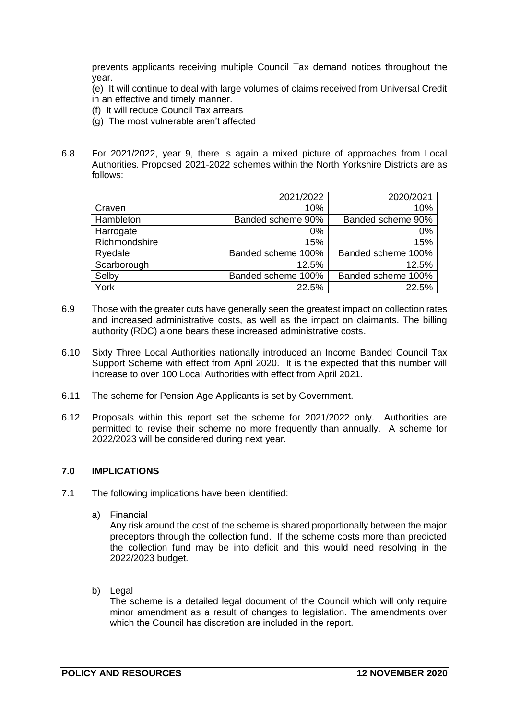prevents applicants receiving multiple Council Tax demand notices throughout the year.

(e) It will continue to deal with large volumes of claims received from Universal Credit in an effective and timely manner.

- (f) It will reduce Council Tax arrears
- (g) The most vulnerable aren't affected
- 6.8 For 2021/2022, year 9, there is again a mixed picture of approaches from Local Authorities. Proposed 2021-2022 schemes within the North Yorkshire Districts are as follows:

|               | 2021/2022          | 2020/2021          |
|---------------|--------------------|--------------------|
| Craven        | 10%                | 10%                |
| Hambleton     | Banded scheme 90%  | Banded scheme 90%  |
| Harrogate     | $0\%$              | 0%                 |
| Richmondshire | 15%                | 15%                |
| Ryedale       | Banded scheme 100% | Banded scheme 100% |
| Scarborough   | 12.5%              | 12.5%              |
| Selby         | Banded scheme 100% | Banded scheme 100% |
| York          | 22.5%              | 22.5%              |

- 6.9 Those with the greater cuts have generally seen the greatest impact on collection rates and increased administrative costs, as well as the impact on claimants. The billing authority (RDC) alone bears these increased administrative costs.
- 6.10 Sixty Three Local Authorities nationally introduced an Income Banded Council Tax Support Scheme with effect from April 2020. It is the expected that this number will increase to over 100 Local Authorities with effect from April 2021.
- 6.11 The scheme for Pension Age Applicants is set by Government.
- 6.12 Proposals within this report set the scheme for 2021/2022 only. Authorities are permitted to revise their scheme no more frequently than annually. A scheme for 2022/2023 will be considered during next year.

#### **7.0 IMPLICATIONS**

- 7.1 The following implications have been identified:
	- a) Financial

Any risk around the cost of the scheme is shared proportionally between the major preceptors through the collection fund. If the scheme costs more than predicted the collection fund may be into deficit and this would need resolving in the 2022/2023 budget.

b) Legal

The scheme is a detailed legal document of the Council which will only require minor amendment as a result of changes to legislation. The amendments over which the Council has discretion are included in the report.